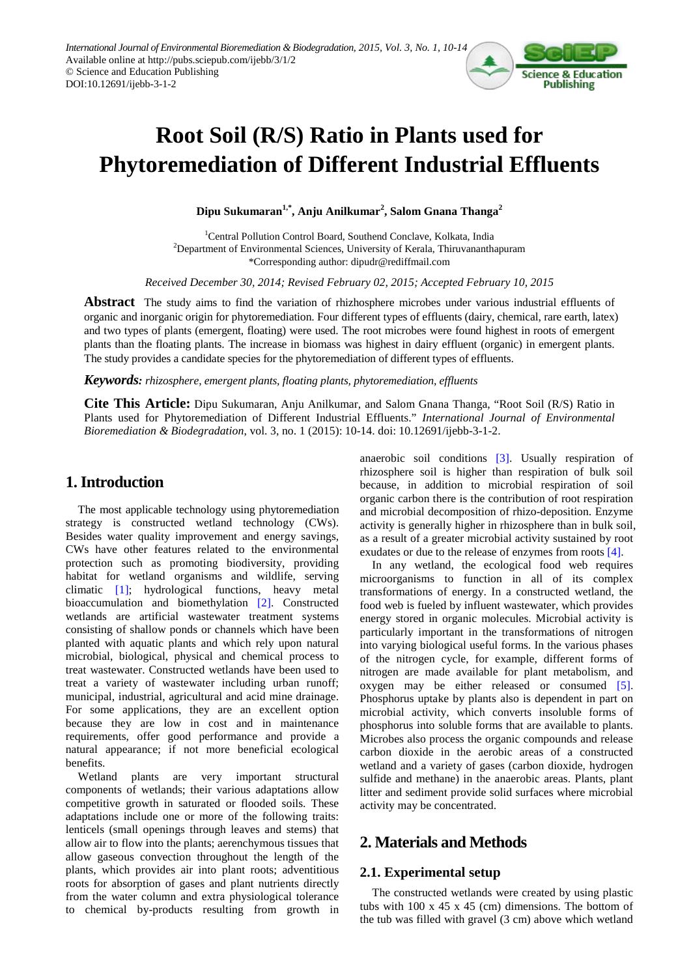

# **Root Soil (R/S) Ratio in Plants used for Phytoremediation of Different Industrial Effluents**

**Dipu Sukumaran1,\*, Anju Anilkumar<sup>2</sup> , Salom Gnana Thanga<sup>2</sup>**

1 Central Pollution Control Board, Southend Conclave, Kolkata, India  $2$ Department of Environmental Sciences, University of Kerala, Thiruvananthapuram \*Corresponding author: dipudr@rediffmail.com

*Received December 30, 2014; Revised February 02, 2015; Accepted February 10, 2015*

**Abstract** The study aims to find the variation of rhizhosphere microbes under various industrial effluents of organic and inorganic origin for phytoremediation. Four different types of effluents (dairy, chemical, rare earth, latex) and two types of plants (emergent, floating) were used. The root microbes were found highest in roots of emergent plants than the floating plants. The increase in biomass was highest in dairy effluent (organic) in emergent plants. The study provides a candidate species for the phytoremediation of different types of effluents.

*Keywords: rhizosphere, emergent plants, floating plants, phytoremediation, effluents*

**Cite This Article:** Dipu Sukumaran, Anju Anilkumar, and Salom Gnana Thanga, "Root Soil (R/S) Ratio in Plants used for Phytoremediation of Different Industrial Effluents." *International Journal of Environmental Bioremediation & Biodegradation*, vol. 3, no. 1 (2015): 10-14. doi: 10.12691/ijebb-3-1-2.

# **1. Introduction**

The most applicable technology using phytoremediation strategy is constructed wetland technology (CWs). Besides water quality improvement and energy savings, CWs have other features related to the environmental protection such as promoting biodiversity, providing habitat for wetland organisms and wildlife, serving climatic [\[1\];](#page-3-0) hydrological functions, heavy metal bioaccumulation and biomethylation [\[2\].](#page-3-1) Constructed wetlands are artificial wastewater treatment systems consisting of shallow ponds or channels which have been planted with aquatic plants and which rely upon natural microbial, biological, physical and chemical process to treat wastewater. Constructed wetlands have been used to treat a variety of wastewater including urban runoff; municipal, industrial, agricultural and acid mine drainage. For some applications, they are an excellent option because they are low in cost and in maintenance requirements, offer good performance and provide a natural appearance; if not more beneficial ecological benefits.

Wetland plants are very important structural components of wetlands; their various adaptations allow competitive growth in saturated or flooded soils. These adaptations include one or more of the following traits: lenticels (small openings through leaves and stems) that allow air to flow into the plants; aerenchymous tissues that allow gaseous convection throughout the length of the plants, which provides air into plant roots; adventitious roots for absorption of gases and plant nutrients directly from the water column and extra physiological tolerance to chemical by-products resulting from growth in anaerobic soil conditions [\[3\].](#page-3-2) Usually respiration of rhizosphere soil is higher than respiration of bulk soil because, in addition to microbial respiration of soil organic carbon there is the contribution of root respiration and microbial decomposition of rhizo-deposition. Enzyme activity is generally higher in rhizosphere than in bulk soil, as a result of a greater microbial activity sustained by root exudates or due to the release of enzymes from roots [\[4\].](#page-4-0)

In any wetland, the ecological food web requires microorganisms to function in all of its complex transformations of energy. In a constructed wetland, the food web is fueled by influent wastewater, which provides energy stored in organic molecules. Microbial activity is particularly important in the transformations of nitrogen into varying biological useful forms. In the various phases of the nitrogen cycle, for example, different forms of nitrogen are made available for plant metabolism, and oxygen may be either released or consumed [\[5\].](#page-4-1) Phosphorus uptake by plants also is dependent in part on microbial activity, which converts insoluble forms of phosphorus into soluble forms that are available to plants. Microbes also process the organic compounds and release carbon dioxide in the aerobic areas of a constructed wetland and a variety of gases (carbon dioxide, hydrogen sulfide and methane) in the anaerobic areas. Plants, plant litter and sediment provide solid surfaces where microbial activity may be concentrated.

# **2. Materials and Methods**

## **2.1. Experimental setup**

The constructed wetlands were created by using plastic tubs with 100 x 45 x 45 (cm) dimensions. The bottom of the tub was filled with gravel (3 cm) above which wetland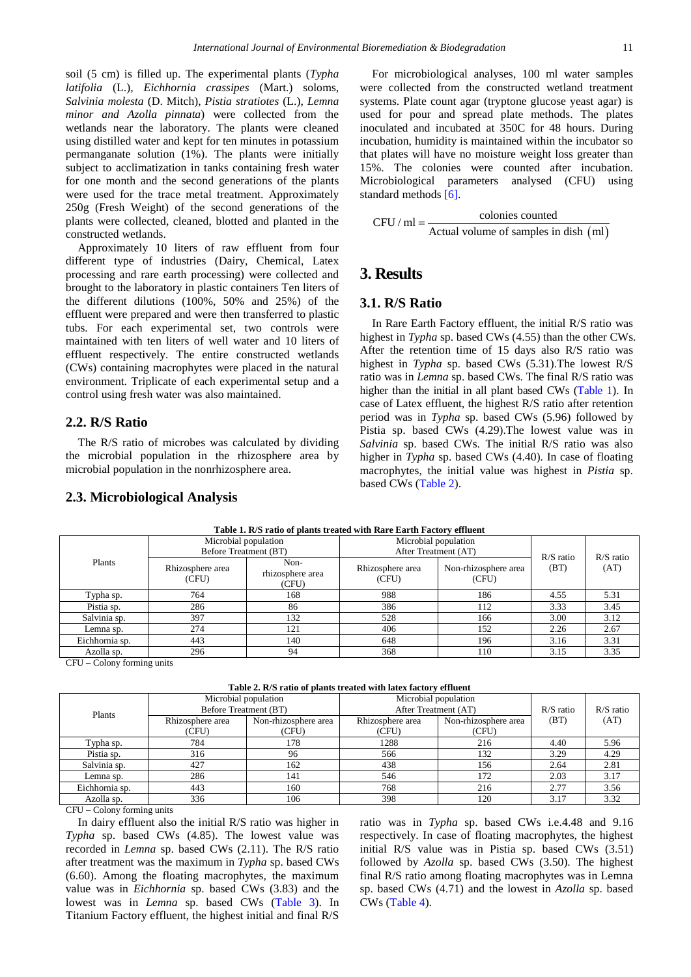soil (5 cm) is filled up. The experimental plants (*Typha latifolia* (L.), *Eichhornia crassipes* (Mart.) soloms, *Salvinia molesta* (D. Mitch), *Pistia stratiotes* (L.), *Lemna minor and Azolla pinnata*) were collected from the wetlands near the laboratory. The plants were cleaned using distilled water and kept for ten minutes in potassium permanganate solution (1%). The plants were initially subject to acclimatization in tanks containing fresh water for one month and the second generations of the plants were used for the trace metal treatment. Approximately 250g (Fresh Weight) of the second generations of the plants were collected, cleaned, blotted and planted in the constructed wetlands.

Approximately 10 liters of raw effluent from four different type of industries (Dairy, Chemical, Latex processing and rare earth processing) were collected and brought to the laboratory in plastic containers Ten liters of the different dilutions (100%, 50% and 25%) of the effluent were prepared and were then transferred to plastic tubs. For each experimental set, two controls were maintained with ten liters of well water and 10 liters of effluent respectively. The entire constructed wetlands (CWs) containing macrophytes were placed in the natural environment. Triplicate of each experimental setup and a control using fresh water was also maintained.

#### **2.2. R/S Ratio**

The R/S ratio of microbes was calculated by dividing the microbial population in the rhizosphere area by microbial population in the nonrhizosphere area.

#### **2.3. Microbiological Analysis**

For microbiological analyses, 100 ml water samples were collected from the constructed wetland treatment systems. Plate count agar (tryptone glucose yeast agar) is used for pour and spread plate methods. The plates inoculated and incubated at 350C for 48 hours. During incubation, humidity is maintained within the incubator so that plates will have no moisture weight loss greater than 15%. The colonies were counted after incubation. Microbiological parameters analysed (CFU) using standard methods [\[6\].](#page-4-2)

CFU / ml = 
$$
\frac{\text{colonies counted}}{\text{Actual volume of samples in dish (ml)}}
$$

## **3. Results**

### **3.1. R/S Ratio**

In Rare Earth Factory effluent, the initial R/S ratio was highest in *Typha* sp. based CWs (4.55) than the other CWs. After the retention time of 15 days also R/S ratio was highest in *Typha* sp. based CWs (5.31).The lowest R/S ratio was in *Lemna* sp. based CWs. The final R/S ratio was higher than the initial in all plant based CWs [\(Table 1\)](#page-1-0). In case of Latex effluent, the highest R/S ratio after retention period was in *Typha* sp. based CWs (5.96) followed by Pistia sp. based CWs (4.29).The lowest value was in *Salvinia* sp. based CWs. The initial R/S ratio was also higher in *Typha* sp. based CWs (4.40). In case of floating macrophytes, the initial value was highest in *Pistia* sp. based CWs [\(Table 2\)](#page-1-1).

<span id="page-1-0"></span>

| Table 1. R/S ratio of plants treated with Rare Earth Factory emittent |                                               |                                   |                                              |                               |                     |             |  |  |
|-----------------------------------------------------------------------|-----------------------------------------------|-----------------------------------|----------------------------------------------|-------------------------------|---------------------|-------------|--|--|
| Plants                                                                | Microbial population<br>Before Treatment (BT) |                                   | Microbial population<br>After Treatment (AT) |                               |                     | $R/S$ ratio |  |  |
|                                                                       | Rhizosphere area<br>(CFU)                     | Non-<br>rhizosphere area<br>(CFU) | Rhizosphere area<br>(CFU)                    | Non-rhizosphere area<br>(CFU) | $R/S$ ratio<br>(BT) | (AT)        |  |  |
| Typha sp.                                                             | 764                                           | 168                               | 988                                          | 186                           | 4.55                | 5.31        |  |  |
| Pistia sp.                                                            | 286                                           | 86                                | 386                                          | 112                           | 3.33                | 3.45        |  |  |
| Salvinia sp.                                                          | 397                                           | 132                               | 528                                          | 166                           | 3.00                | 3.12        |  |  |
| Lemna sp.                                                             | 274                                           | 121                               | 406                                          | 152                           | 2.26                | 2.67        |  |  |
| Eichhornia sp.                                                        | 443                                           | 140                               | 648                                          | 196                           | 3.16                | 3.31        |  |  |
| Azolla sp.                                                            | 296                                           | 94                                | 368                                          | 110                           | 3.15                | 3.35        |  |  |
| ______                                                                |                                               |                                   |                                              |                               |                     |             |  |  |

**Table 1. R/S ratio of plants treated with Rare Earth Factory effluent**

CFU – Colony forming units

| Table 2. R/S ratio of plants treated with latex factory effluent |  |  |
|------------------------------------------------------------------|--|--|
|                                                                  |  |  |

<span id="page-1-1"></span>

| Plants         | Microbial population<br>Before Treatment (BT) |                               | Microbial population<br>After Treatment (AT) |                               | $R/S$ ratio | $R/S$ ratio |
|----------------|-----------------------------------------------|-------------------------------|----------------------------------------------|-------------------------------|-------------|-------------|
|                | Rhizosphere area<br>(CFU)                     | Non-rhizosphere area<br>(CFU) | Rhizosphere area<br>(CFU)                    | Non-rhizosphere area<br>(CFU) | (BT)        | (AT)        |
| Typha sp.      | 784                                           | 178                           | 1288                                         | 216                           | 4.40        | 5.96        |
| Pistia sp.     | 316                                           | 96                            | 566                                          | 132                           | 3.29        | 4.29        |
| Salvinia sp.   | 427                                           | 162                           | 438                                          | 156                           | 2.64        | 2.81        |
| Lemna sp.      | 286                                           | 141                           | 546                                          | 172                           | 2.03        | 3.17        |
| Eichhornia sp. | 443                                           | 160                           | 768                                          | 216                           | 2.77        | 3.56        |
| Azolla sp.     | 336                                           | 106                           | 398                                          | 120                           | 3.17        | 3.32        |

CFU – Colony forming units

In dairy effluent also the initial R/S ratio was higher in *Typha* sp. based CWs (4.85). The lowest value was recorded in *Lemna* sp. based CWs (2.11). The R/S ratio after treatment was the maximum in *Typha* sp. based CWs (6.60). Among the floating macrophytes, the maximum value was in *Eichhornia* sp. based CWs (3.83) and the lowest was in *Lemna* sp. based CWs [\(Table 3\)](#page-2-0). In Titanium Factory effluent, the highest initial and final R/S ratio was in *Typha* sp. based CWs i.e.4.48 and 9.16 respectively. In case of floating macrophytes, the highest initial R/S value was in Pistia sp. based CWs (3.51) followed by *Azolla* sp. based CWs (3.50). The highest final R/S ratio among floating macrophytes was in Lemna sp. based CWs (4.71) and the lowest in *Azolla* sp. based CWs [\(Table 4\)](#page-2-1).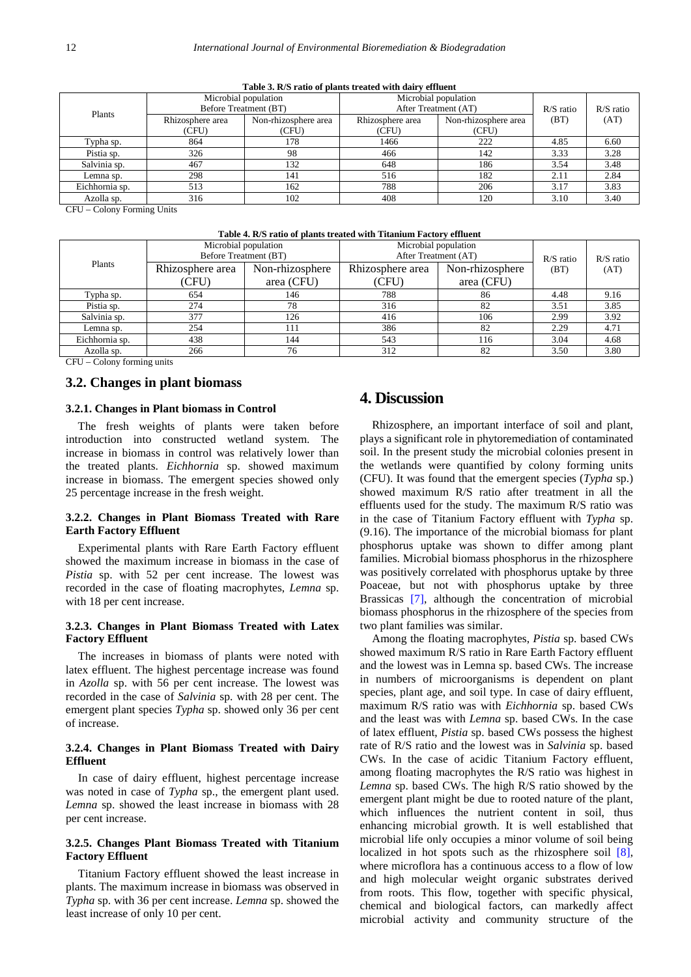<span id="page-2-0"></span>

| $-$ which can be a well of presence of correct within the company |                       |                      |                      |                      |             |             |  |
|-------------------------------------------------------------------|-----------------------|----------------------|----------------------|----------------------|-------------|-------------|--|
| Plants                                                            | Microbial population  |                      | Microbial population |                      | $R/S$ ratio | $R/S$ ratio |  |
|                                                                   | Before Treatment (BT) |                      | After Treatment (AT) |                      |             |             |  |
|                                                                   | Rhizosphere area      | Non-rhizosphere area | Rhizosphere area     | Non-rhizosphere area | (BT)        | (AT)        |  |
|                                                                   | (CFU)                 | (CFU)                | (CFU)                | (CFU)                |             |             |  |
| Typha sp.                                                         | 864                   | 178                  | 1466                 | 222                  | 4.85        | 6.60        |  |
| Pistia sp.                                                        | 326                   | 98                   | 466                  | 142                  | 3.33        | 3.28        |  |
| Salvinia sp.                                                      | 467                   | 132                  | 648                  | 186                  | 3.54        | 3.48        |  |
| Lemna sp.                                                         | 298                   | 141                  | 516                  | 182                  | 2.11        | 2.84        |  |
| Eichhornia sp.                                                    | 513                   | 162                  | 788                  | 206                  | 3.17        | 3.83        |  |
| Azolla sp.                                                        | 316                   | 102                  | 408                  | 120                  | 3.10        | 3.40        |  |

**Table 3. R/S ratio of plants treated with dairy effluent**

CFU – Colony Forming Units

| Table 4. R/S ratio of plants treated with Titanium Factory effluent |  |  |  |
|---------------------------------------------------------------------|--|--|--|
|---------------------------------------------------------------------|--|--|--|

<span id="page-2-1"></span>

| Plants         | Microbial population  |                 | Microbial population |                 | $R/S$ ratio | $R/S$ ratio |
|----------------|-----------------------|-----------------|----------------------|-----------------|-------------|-------------|
|                | Before Treatment (BT) |                 | After Treatment (AT) |                 |             |             |
|                | Rhizosphere area      | Non-rhizosphere | Rhizosphere area     | Non-rhizosphere | (BT)        | (AT)        |
|                | (CFU)                 | area (CFU)      | (CFU)                | area (CFU)      |             |             |
| Typha sp.      | 654                   | 146             | 788                  | 86              | 4.48        | 9.16        |
| Pistia sp.     | 274                   | 78              | 316                  | 82              | 3.51        | 3.85        |
| Salvinia sp.   | 377                   | 126             | 416                  | 106             | 2.99        | 3.92        |
| Lemna sp.      | 254                   | 111             | 386                  | 82              | 2.29        | 4.71        |
| Eichhornia sp. | 438                   | 144             | 543                  | 116             | 3.04        | 4.68        |
| Azolla sp.     | 266                   | 76              | 312                  | 82              | 3.50        | 3.80        |
|                |                       |                 |                      |                 |             |             |

CFU – Colony forming units

#### **3.2. Changes in plant biomass**

#### **3.2.1. Changes in Plant biomass in Control**

The fresh weights of plants were taken before introduction into constructed wetland system. The increase in biomass in control was relatively lower than the treated plants. *Eichhornia* sp. showed maximum increase in biomass. The emergent species showed only 25 percentage increase in the fresh weight.

#### **3.2.2. Changes in Plant Biomass Treated with Rare Earth Factory Effluent**

Experimental plants with Rare Earth Factory effluent showed the maximum increase in biomass in the case of *Pistia* sp. with 52 per cent increase. The lowest was recorded in the case of floating macrophytes, *Lemna* sp. with 18 per cent increase.

#### **3.2.3. Changes in Plant Biomass Treated with Latex Factory Effluent**

The increases in biomass of plants were noted with latex effluent. The highest percentage increase was found in *Azolla* sp. with 56 per cent increase. The lowest was recorded in the case of *Salvinia* sp. with 28 per cent. The emergent plant species *Typha* sp. showed only 36 per cent of increase.

#### **3.2.4. Changes in Plant Biomass Treated with Dairy Effluent**

In case of dairy effluent, highest percentage increase was noted in case of *Typha* sp., the emergent plant used. *Lemna* sp. showed the least increase in biomass with 28 per cent increase.

#### **3.2.5. Changes Plant Biomass Treated with Titanium Factory Effluent**

Titanium Factory effluent showed the least increase in plants. The maximum increase in biomass was observed in *Typha* sp. with 36 per cent increase. *Lemna* sp. showed the least increase of only 10 per cent.

## **4. Discussion**

Rhizosphere, an important interface of soil and plant, plays a significant role in phytoremediation of contaminated soil. In the present study the microbial colonies present in the wetlands were quantified by colony forming units (CFU). It was found that the emergent species (*Typha* sp.) showed maximum R/S ratio after treatment in all the effluents used for the study. The maximum R/S ratio was in the case of Titanium Factory effluent with *Typha* sp. (9.16). The importance of the microbial biomass for plant phosphorus uptake was shown to differ among plant families. Microbial biomass phosphorus in the rhizosphere was positively correlated with phosphorus uptake by three Poaceae, but not with phosphorus uptake by three Brassicas [\[7\],](#page-4-3) although the concentration of microbial biomass phosphorus in the rhizosphere of the species from two plant families was similar.

Among the floating macrophytes, *Pistia* sp. based CWs showed maximum R/S ratio in Rare Earth Factory effluent and the lowest was in Lemna sp. based CWs. The increase in numbers of microorganisms is dependent on plant species, plant age, and soil type. In case of dairy effluent, maximum R/S ratio was with *Eichhornia* sp. based CWs and the least was with *Lemna* sp. based CWs. In the case of latex effluent, *Pistia* sp. based CWs possess the highest rate of R/S ratio and the lowest was in *Salvinia* sp. based CWs. In the case of acidic Titanium Factory effluent, among floating macrophytes the R/S ratio was highest in *Lemna* sp. based CWs. The high R/S ratio showed by the emergent plant might be due to rooted nature of the plant, which influences the nutrient content in soil, thus enhancing microbial growth. It is well established that microbial life only occupies a minor volume of soil being localized in hot spots such as the rhizosphere soil [\[8\],](#page-4-4) where microflora has a continuous access to a flow of low and high molecular weight organic substrates derived from roots. This flow, together with specific physical, chemical and biological factors, can markedly affect microbial activity and community structure of the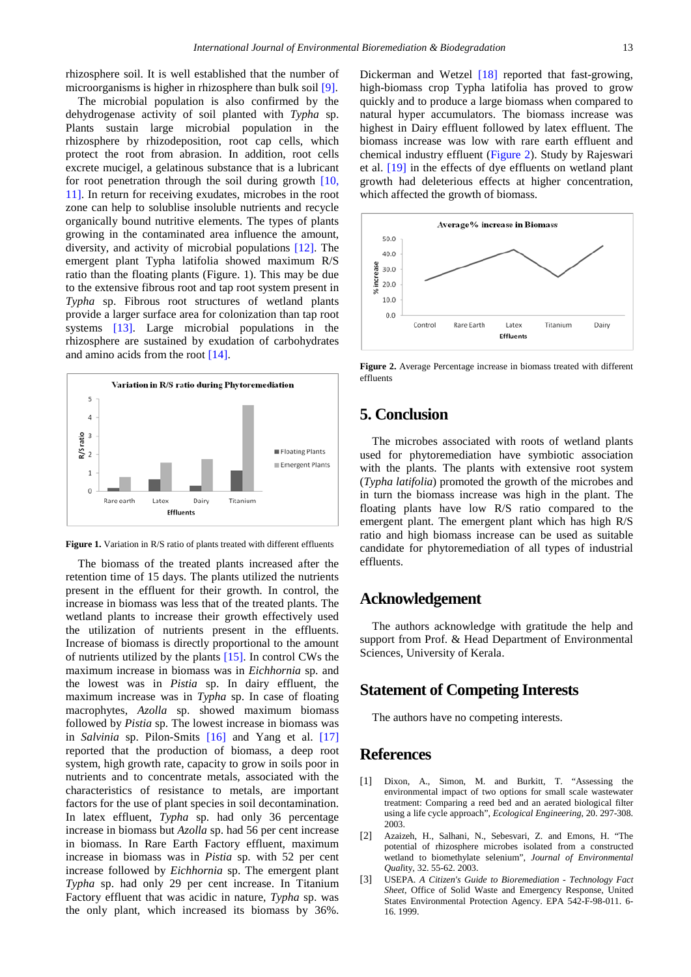rhizosphere soil. It is well established that the number of microorganisms is higher in rhizosphere than bulk soil [\[9\].](#page-4-5)

The microbial population is also confirmed by the dehydrogenase activity of soil planted with *Typha* sp. Plants sustain large microbial population in the rhizosphere by rhizodeposition, root cap cells, which protect the root from abrasion. In addition, root cells excrete mucigel, a gelatinous substance that is a lubricant for root penetration through the soil during growth [\[10,](#page-4-6)  [11\].](#page-4-6) In return for receiving exudates, microbes in the root zone can help to solublise insoluble nutrients and recycle organically bound nutritive elements. The types of plants growing in the contaminated area influence the amount, diversity, and activity of microbial populations [\[12\].](#page-4-7) The emergent plant Typha latifolia showed maximum R/S ratio than the floating plants (Figure. 1). This may be due to the extensive fibrous root and tap root system present in *Typha* sp. Fibrous root structures of wetland plants provide a larger surface area for colonization than tap root systems [\[13\].](#page-4-8) Large microbial populations in the rhizosphere are sustained by exudation of carbohydrates and amino acids from the root [\[14\].](#page-4-9)



Figure 1. Variation in R/S ratio of plants treated with different effluents

The biomass of the treated plants increased after the retention time of 15 days. The plants utilized the nutrients present in the effluent for their growth. In control, the increase in biomass was less that of the treated plants. The wetland plants to increase their growth effectively used the utilization of nutrients present in the effluents. Increase of biomass is directly proportional to the amount of nutrients utilized by the plants [\[15\].](#page-4-10) In control CWs the maximum increase in biomass was in *Eichhornia* sp. and the lowest was in *Pistia* sp. In dairy effluent, the maximum increase was in *Typha* sp. In case of floating macrophytes, *Azolla* sp. showed maximum biomass followed by *Pistia* sp. The lowest increase in biomass was in *Salvinia* sp. Pilon-Smits [\[16\]](#page-4-11) and Yang et al. [\[17\]](#page-4-12) reported that the production of biomass, a deep root system, high growth rate, capacity to grow in soils poor in nutrients and to concentrate metals, associated with the characteristics of resistance to metals, are important factors for the use of plant species in soil decontamination. In latex effluent, *Typha* sp. had only 36 percentage increase in biomass but *Azolla* sp. had 56 per cent increase in biomass. In Rare Earth Factory effluent, maximum increase in biomass was in *Pistia* sp. with 52 per cent increase followed by *Eichhornia* sp. The emergent plant *Typha* sp. had only 29 per cent increase. In Titanium Factory effluent that was acidic in nature, *Typha* sp. was the only plant, which increased its biomass by 36%.

Dickerman and Wetzel [\[18\]](#page-4-13) reported that fast-growing, high-biomass crop Typha latifolia has proved to grow quickly and to produce a large biomass when compared to natural hyper accumulators. The biomass increase was highest in Dairy effluent followed by latex effluent. The biomass increase was low with rare earth effluent and chemical industry effluent [\(Figure 2\)](#page-3-3). Study by Rajeswari et al. [\[19\]](#page-4-14) in the effects of dye effluents on wetland plant growth had deleterious effects at higher concentration, which affected the growth of biomass.

<span id="page-3-3"></span>

**Figure 2.** Average Percentage increase in biomass treated with different effluents

# **5. Conclusion**

The microbes associated with roots of wetland plants used for phytoremediation have symbiotic association with the plants. The plants with extensive root system (*Typha latifolia*) promoted the growth of the microbes and in turn the biomass increase was high in the plant. The floating plants have low R/S ratio compared to the emergent plant. The emergent plant which has high R/S ratio and high biomass increase can be used as suitable candidate for phytoremediation of all types of industrial effluents.

## **Acknowledgement**

The authors acknowledge with gratitude the help and support from Prof. & Head Department of Environmental Sciences, University of Kerala.

## **Statement of Competing Interests**

The authors have no competing interests.

## **References**

- <span id="page-3-0"></span>[1] Dixon, A., Simon, M. and Burkitt, T. "Assessing the environmental impact of two options for small scale wastewater treatment: Comparing a reed bed and an aerated biological filter using a life cycle approach", *Ecological Engineering*, 20. 297-308. 2003.
- <span id="page-3-1"></span>[2] Azaizeh, H., Salhani, N., Sebesvari, Z. and Emons, H. "The potential of rhizosphere microbes isolated from a constructed wetland to biomethylate selenium", *Journal of Environmental Qual*ity, 32. 55-62. 2003.
- <span id="page-3-2"></span>[3] USEPA. *A Citizen's Guide to Bioremediation - Technology Fact Sheet*, Office of Solid Waste and Emergency Response, United States Environmental Protection Agency. EPA 542-F-98-011. 6- 16. 1999.